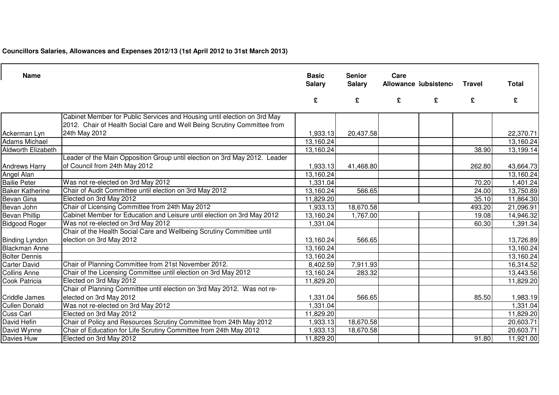**Councillors Salaries, Allowances and Expenses 2012/13 (1st April 2012 to 31st March 2013)**

| <b>Name</b>               |                                                                                                                                                      | <b>Basic</b><br><b>Salary</b> | <b>Senior</b><br><b>Salary</b> | Care<br>Allowance Subsistence |   | <b>Travel</b> | <b>Total</b> |
|---------------------------|------------------------------------------------------------------------------------------------------------------------------------------------------|-------------------------------|--------------------------------|-------------------------------|---|---------------|--------------|
|                           |                                                                                                                                                      | £                             | £                              | £                             | £ | £             | £            |
|                           | Cabinet Member for Public Services and Housing until election on 3rd May<br>2012. Chair of Health Social Care and Well Being Scrutiny Committee from |                               |                                |                               |   |               |              |
| Ackerman Lyn              | 24th May 2012                                                                                                                                        | 1,933.13                      | 20,437.58                      |                               |   |               | 22,370.71    |
| <b>Adams Michael</b>      |                                                                                                                                                      | 13,160.24                     |                                |                               |   |               | 13,160.24    |
| <b>Aldworth Elizabeth</b> |                                                                                                                                                      | 13,160.24                     |                                |                               |   | 38.90         | 13,199.14    |
| <b>Andrews Harry</b>      | Leader of the Main Opposition Group until election on 3rd May 2012. Leader<br>of Council from 24th May 2012                                          | 1,933.13                      | 41,468.80                      |                               |   | 262.80        | 43,664.73    |
| Angel Alan                |                                                                                                                                                      | 13,160.24                     |                                |                               |   |               | 13,160.24    |
| <b>Bailie Peter</b>       | Was not re-elected on 3rd May 2012                                                                                                                   | 1,331.04                      |                                |                               |   | 70.20         | 1,401.24     |
| <b>Baker Katherine</b>    | Chair of Audit Committee until election on 3rd May 2012                                                                                              | 13,160.24                     | 566.65                         |                               |   | 24.00         | 13,750.89    |
| Bevan Gina                | Elected on 3rd May 2012                                                                                                                              | 11,829.20                     |                                |                               |   | 35.10         | 11,864.30    |
| Bevan John                | Chair of Licensing Committee from 24th May 2012                                                                                                      | 1,933.13                      | 18,670.58                      |                               |   | 493.20        | 21,096.91    |
| <b>Bevan Phillip</b>      | Cabinet Member for Education and Leisure until election on 3rd May 2012                                                                              | 13,160.24                     | 1,767.00                       |                               |   | 19.08         | 14,946.32    |
| <b>Bidgood Roger</b>      | Was not re-elected on 3rd May 2012                                                                                                                   | 1,331.04                      |                                |                               |   | 60.30         | 1,391.34     |
|                           | Chair of the Health Social Care and Wellbeing Scrutiny Committee until                                                                               |                               |                                |                               |   |               |              |
| <b>Binding Lyndon</b>     | election on 3rd May 2012                                                                                                                             | 13,160.24                     | 566.65                         |                               |   |               | 13,726.89    |
| <b>Blackman Anne</b>      |                                                                                                                                                      | 13,160.24                     |                                |                               |   |               | 13,160.24    |
| <b>Bolter Dennis</b>      |                                                                                                                                                      | 13,160.24                     |                                |                               |   |               | 13,160.24    |
| <b>Carter David</b>       | Chair of Planning Committee from 21st November 2012.                                                                                                 | 8,402.59                      | 7,911.93                       |                               |   |               | 16,314.52    |
| <b>Collins Anne</b>       | Chair of the Licensing Committee until election on 3rd May 2012                                                                                      | 13,160.24                     | 283.32                         |                               |   |               | 13,443.56    |
| <b>Cook Patricia</b>      | Elected on 3rd May 2012                                                                                                                              | 11,829.20                     |                                |                               |   |               | 11,829.20    |
|                           | Chair of Planning Committee until election on 3rd May 2012. Was not re-                                                                              |                               |                                |                               |   |               |              |
| <b>Criddle James</b>      | elected on 3rd May 2012                                                                                                                              | 1,331.04                      | 566.65                         |                               |   | 85.50         | 1,983.19     |
| <b>Cullen Donald</b>      | Was not re-elected on 3rd May 2012                                                                                                                   | 1,331.04                      |                                |                               |   |               | 1,331.04     |
| Cuss Carl                 | Elected on 3rd May 2012                                                                                                                              | 11,829.20                     |                                |                               |   |               | 11,829.20    |
| David Hefin               | Chair of Policy and Resources Scrutiny Committee from 24th May 2012                                                                                  | 1,933.13                      | 18,670.58                      |                               |   |               | 20,603.71    |
| David Wynne               | Chair of Education for Life Scrutiny Committee from 24th May 2012                                                                                    | 1,933.13                      | 18,670.58                      |                               |   |               | 20,603.71    |
| Davies Huw                | Elected on 3rd May 2012                                                                                                                              | 11,829.20                     |                                |                               |   | 91.80         | 11,921.00    |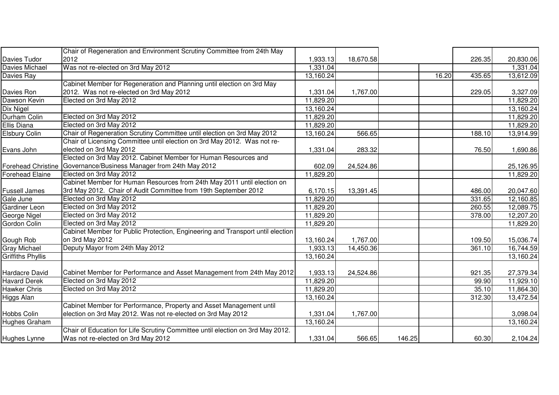|                          | Chair of Regeneration and Environment Scrutiny Committee from 24th May         |           |           |        |                 |           |
|--------------------------|--------------------------------------------------------------------------------|-----------|-----------|--------|-----------------|-----------|
| Davies Tudor             | 2012                                                                           | 1,933.13  | 18,670.58 |        | 226.35          | 20,830.06 |
| Davies Michael           | Was not re-elected on 3rd May 2012                                             | 1,331.04  |           |        |                 | 1,331.04  |
| Davies Ray               |                                                                                | 13,160.24 |           |        | 16.20<br>435.65 | 13,612.09 |
|                          | Cabinet Member for Regeneration and Planning until election on 3rd May         |           |           |        |                 |           |
| Davies Ron               | 2012. Was not re-elected on 3rd May 2012                                       | 1,331.04  | 1,767.00  |        | 229.05          | 3,327.09  |
| Dawson Kevin             | Elected on 3rd May 2012                                                        | 11,829.20 |           |        |                 | 11,829.20 |
| Dix Nigel                |                                                                                | 13,160.24 |           |        |                 | 13,160.24 |
| Durham Colin             | Elected on 3rd May 2012                                                        | 11,829.20 |           |        |                 | 11,829.20 |
| Ellis Diana              | Elected on 3rd May 2012                                                        | 11,829.20 |           |        |                 | 11,829.20 |
| <b>Elsbury Colin</b>     | Chair of Regeneration Scrutiny Committee until election on 3rd May 2012        | 13,160.24 | 566.65    |        | 188.10          | 13,914.99 |
|                          | Chair of Licensing Committee until election on 3rd May 2012. Was not re-       |           |           |        |                 |           |
| Evans John               | elected on 3rd May 2012                                                        | 1,331.04  | 283.32    |        | 76.50           | 1,690.86  |
|                          | Elected on 3rd May 2012. Cabinet Member for Human Resources and                |           |           |        |                 |           |
| Forehead Christine       | Governance/Business Manager from 24th May 2012                                 | 602.09    | 24,524.86 |        |                 | 25,126.95 |
| <b>Forehead Elaine</b>   | Elected on 3rd May 2012                                                        | 11,829.20 |           |        |                 | 11,829.20 |
|                          | Cabinet Member for Human Resources from 24th May 2011 until election on        |           |           |        |                 |           |
| <b>Fussell James</b>     | 3rd May 2012. Chair of Audit Committee from 19th September 2012                | 6,170.15  | 13,391.45 |        | 486.00          | 20,047.60 |
| Gale June                | Elected on 3rd May 2012                                                        | 11,829.20 |           |        | 331.65          | 12,160.85 |
| <b>Gardiner Leon</b>     | Elected on 3rd May 2012                                                        | 11,829.20 |           |        | 260.55          | 12,089.75 |
| George Nigel             | Elected on 3rd May 2012                                                        | 11,829.20 |           |        | 378.00          | 12,207.20 |
| Gordon Colin             | Elected on 3rd May 2012                                                        | 11,829.20 |           |        |                 | 11,829.20 |
|                          | Cabinet Member for Public Protection, Engineering and Transport until election |           |           |        |                 |           |
| Gough Rob                | on 3rd May 2012                                                                | 13,160.24 | 1,767.00  |        | 109.50          | 15,036.74 |
| <b>Gray Michael</b>      | Deputy Mayor from 24th May 2012                                                | 1,933.13  | 14,450.36 |        | 361.10          | 16,744.59 |
| <b>Griffiths Phyllis</b> |                                                                                | 13,160.24 |           |        |                 | 13,160.24 |
|                          |                                                                                |           |           |        |                 |           |
| Hardacre David           | Cabinet Member for Performance and Asset Management from 24th May 2012         | 1,933.13  | 24,524.86 |        | 921.35          | 27,379.34 |
| <b>Havard Derek</b>      | Elected on 3rd May 2012                                                        | 11,829.20 |           |        | 99.90           | 11,929.10 |
| <b>Hawker Chris</b>      | Elected on 3rd May 2012                                                        | 11,829.20 |           |        | 35.10           | 11,864.30 |
| Higgs Alan               |                                                                                | 13,160.24 |           |        | 312.30          | 13,472.54 |
|                          | Cabinet Member for Performance, Property and Asset Management until            |           |           |        |                 |           |
| Hobbs Colin              | election on 3rd May 2012. Was not re-elected on 3rd May 2012                   | 1,331.04  | 1,767.00  |        |                 | 3,098.04  |
| <b>Hughes Graham</b>     |                                                                                | 13,160.24 |           |        |                 | 13,160.24 |
|                          | Chair of Education for Life Scrutiny Committee until election on 3rd May 2012. |           |           |        |                 |           |
| Hughes Lynne             | Was not re-elected on 3rd May 2012                                             | 1,331.04  | 566.65    | 146.25 | 60.30           | 2,104.24  |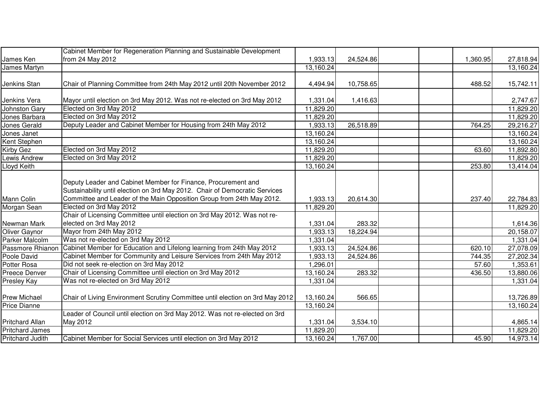|                        | Cabinet Member for Regeneration Planning and Sustainable Development          |           |           |          |           |
|------------------------|-------------------------------------------------------------------------------|-----------|-----------|----------|-----------|
| James Ken              | from 24 May 2012                                                              | 1,933.13  | 24,524.86 | 1,360.95 | 27,818.94 |
| James Martyn           |                                                                               | 13,160.24 |           |          | 13,160.24 |
|                        |                                                                               |           |           |          |           |
| Jenkins Stan           | Chair of Planning Committee from 24th May 2012 until 20th November 2012       | 4,494.94  | 10,758.65 | 488.52   | 15,742.11 |
|                        |                                                                               |           |           |          |           |
| Jenkins Vera           | Mayor until election on 3rd May 2012. Was not re-elected on 3rd May 2012      | 1,331.04  | 1,416.63  |          | 2,747.67  |
| <b>Johnston Gary</b>   | Elected on 3rd May 2012                                                       | 11,829.20 |           |          | 11,829.20 |
| Jones Barbara          | Elected on 3rd May 2012                                                       | 11,829.20 |           |          | 11,829.20 |
| Jones Gerald           | Deputy Leader and Cabinet Member for Housing from 24th May 2012               | 1,933.13  | 26,518.89 | 764.25   | 29,216.27 |
| Jones Janet            |                                                                               | 13,160.24 |           |          | 13,160.24 |
| Kent Stephen           |                                                                               | 13,160.24 |           |          | 13,160.24 |
| <b>Kirby Gez</b>       | Elected on 3rd May 2012                                                       | 11,829.20 |           | 63.60    | 11,892.80 |
| Lewis Andrew           | Elected on 3rd May 2012                                                       | 11,829.20 |           |          | 11,829.20 |
| Lloyd Keith            |                                                                               | 13,160.24 |           | 253.80   | 13,414.04 |
|                        | Deputy Leader and Cabinet Member for Finance, Procurement and                 |           |           |          |           |
|                        | Sustainability until election on 3rd May 2012. Chair of Democratic Services   |           |           |          |           |
| Mann Colin             | Committee and Leader of the Main Opposition Group from 24th May 2012.         | 1,933.13  | 20,614.30 | 237.40   | 22,784.83 |
| Morgan Sean            | Elected on 3rd May 2012                                                       | 11,829.20 |           |          | 11,829.20 |
|                        | Chair of Licensing Committee until election on 3rd May 2012. Was not re-      |           |           |          |           |
| Newman Mark            | elected on 3rd May 2012                                                       | 1,331.04  | 283.32    |          | 1,614.36  |
| <b>Oliver Gaynor</b>   | Mayor from 24th May 2012                                                      | 1,933.13  | 18,224.94 |          | 20,158.07 |
| <b>Parker Malcolm</b>  | Was not re-elected on 3rd May 2012                                            | 1,331.04  |           |          | 1,331.04  |
| Passmore Rhianon       | Cabinet Member for Education and Lifelong learning from 24th May 2012         | 1,933.13  | 24,524.86 | 620.10   | 27,078.09 |
| Poole David            | Cabinet Member for Community and Leisure Services from 24th May 2012          | 1,933.13  | 24,524.86 | 744.35   | 27,202.34 |
| <b>Potter Rosa</b>     | Did not seek re-election on 3rd May 2012                                      | ,296.01   |           | 57.60    | 1,353.61  |
| Preece Denver          | Chair of Licensing Committee until election on 3rd May 2012                   | 13,160.24 | 283.32    | 436.50   | 13,880.06 |
| <b>Presley Kay</b>     | Was not re-elected on 3rd May 2012                                            | 1,331.04  |           |          | 1,331.04  |
|                        |                                                                               |           |           |          |           |
| Prew Michael           | Chair of Living Environment Scrutiny Committee until election on 3rd May 2012 | 13,160.24 | 566.65    |          | 13,726.89 |
| <b>Price Dianne</b>    |                                                                               | 13,160.24 |           |          | 13,160.24 |
|                        | Leader of Council until election on 3rd May 2012. Was not re-elected on 3rd   |           |           |          |           |
| <b>Pritchard Allan</b> | May 2012                                                                      | 1,331.04  | 3,534.10  |          | 4,865.14  |
| <b>Pritchard James</b> |                                                                               | 11,829.20 |           |          | 11,829.20 |
| Pritchard Judith       | Cabinet Member for Social Services until election on 3rd May 2012             | 13,160.24 | 1,767.00  | 45.90    | 14,973.14 |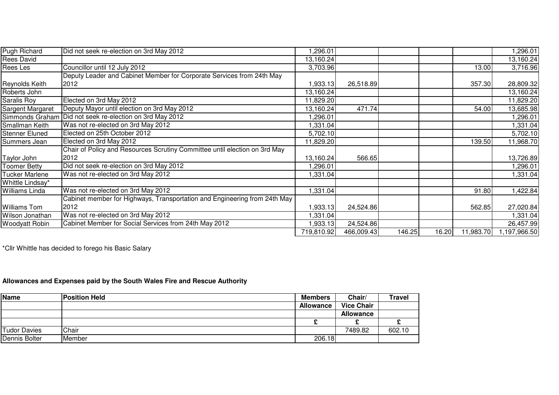| <b>Pugh Richard</b>   | Did not seek re-election on 3rd May 2012                                   | ,296.01    |            |        |       |           | ,296.01     |
|-----------------------|----------------------------------------------------------------------------|------------|------------|--------|-------|-----------|-------------|
| <b>Rees David</b>     |                                                                            | 13,160.24  |            |        |       |           | 13,160.24   |
| Rees Les              | Councillor until 12 July 2012                                              | 3,703.96   |            |        |       | 13.00     | 3,716.96    |
|                       | Deputy Leader and Cabinet Member for Corporate Services from 24th May      |            |            |        |       |           |             |
| Reynolds Keith        | 2012                                                                       | 1,933.13   | 26,518.89  |        |       | 357.30    | 28,809.32   |
| Roberts John          |                                                                            | 13,160.24  |            |        |       |           | 13,160.24   |
| Saralis Roy           | Elected on 3rd May 2012                                                    | 11,829.20  |            |        |       |           | 11,829.20   |
| Sargent Margaret      | Deputy Mayor until election on 3rd May 2012                                | 13,160.24  | 471.74     |        |       | 54.00     | 13,685.98   |
| Simmonds Graham       | Did not seek re-election on 3rd May 2012                                   | ,296.01    |            |        |       |           | 1,296.01    |
| Smallman Keith        | Was not re-elected on 3rd May 2012                                         | 1,331.04   |            |        |       |           | 1,331.04    |
| <b>Stenner Eluned</b> | Elected on 25th October 2012                                               | 5,702.10   |            |        |       |           | 5,702.10    |
| Summers Jean          | Elected on 3rd May 2012                                                    | 11,829.20  |            |        |       | 139.50    | 11,968.70   |
|                       | Chair of Policy and Resources Scrutiny Committee until election on 3rd May |            |            |        |       |           |             |
| Taylor John           | 2012                                                                       | 13,160.24  | 566.65     |        |       |           | 13,726.89   |
| <b>Toomer Betty</b>   | Did not seek re-election on 3rd May 2012                                   | 1,296.01   |            |        |       |           | 1,296.01    |
| <b>Tucker Marlene</b> | Was not re-elected on 3rd May 2012                                         | 1,331.04   |            |        |       |           | ,331.04     |
| Whittle Lindsay*      |                                                                            |            |            |        |       |           |             |
| <b>Williams Linda</b> | Was not re-elected on 3rd May 2012                                         | 1,331.04   |            |        |       | 91.80     | A22.84,     |
|                       | Cabinet member for Highways, Transportation and Engineering from 24th May  |            |            |        |       |           |             |
| <b>Williams Tom</b>   | 2012                                                                       | 1,933.13   | 24,524.86  |        |       | 562.85    | 27,020.84   |
| Wilson Jonathan       | Was not re-elected on 3rd May 2012                                         | ,331.04    |            |        |       |           | 1,331.04    |
| <b>Woodyatt Robin</b> | Cabinet Member for Social Services from 24th May 2012                      | 1,933.13   | 24,524.86  |        |       |           | 26,457.99   |
|                       |                                                                            | 719,810.92 | 466,009.43 | 146.25 | 16.20 | 11,983.70 | ,197,966.50 |

\*Cllr Whittle has decided to forego his Basic Salary

## **Allowances and Expenses paid by the South Wales Fire and Rescue Authority**

| Name                | <b>Position Held</b> | <b>Members</b>   | Chair/            | Travel |
|---------------------|----------------------|------------------|-------------------|--------|
|                     |                      | <b>Allowance</b> | <b>Vice Chair</b> |        |
|                     |                      |                  | <b>Allowance</b>  |        |
|                     |                      |                  |                   |        |
| <b>Tudor Davies</b> | Chair                |                  | 7489.82           | 602.10 |
| Dennis Bolter       | <b>Member</b>        | 206.18           |                   |        |